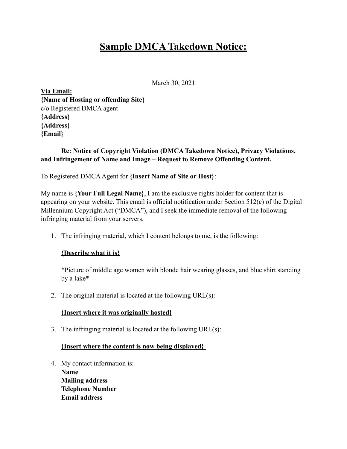# **Sample DMCA Takedown Notice:**

March 30, 2021

**Via Email: {Name of Hosting or offending Site}**  c/o Registered DMCA agent **{Address} {Address} {Email}** 

## **Re: Notice of Copyright Violation (DMCA Takedown Notice), Privacy Violations, and Infringement of Name and Image – Request to Remove Offending Content.**

To Registered DMCA Agent for **{Insert Name of Site or Host}**:

My name is **{Your Full Legal Name}**, I am the exclusive rights holder for content that is appearing on your website. This email is official notification under Section 512(c) of the Digital Millennium Copyright Act ("DMCA"), and I seek the immediate removal of the following infringing material from your servers.

1. The infringing material, which I content belongs to me, is the following:

### **{Describe what it is}**

\*Picture of middle age women with blonde hair wearing glasses, and blue shirt standing by a lake\*

2. The original material is located at the following URL(s):

### **{Insert where it was originally hosted}**

3. The infringing material is located at the following URL(s):

### **{Insert where the content is now being displayed}**

4. My contact information is: **Name Mailing address Telephone Number Email address**